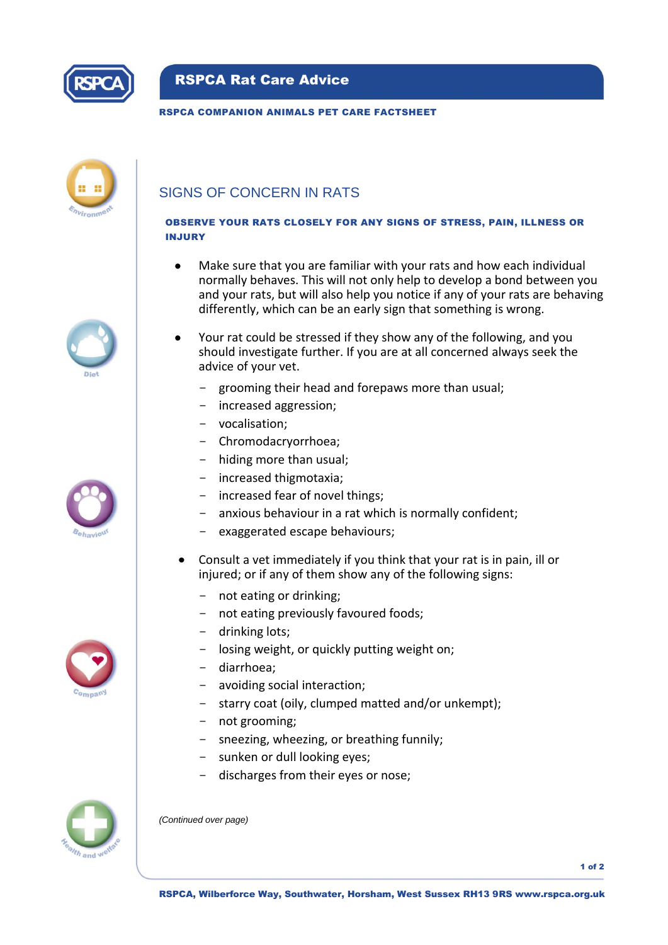

## RSPCA Rat Care Advice

#### RSPCA COMPANION ANIMALS PET CARE FACTSHEET



# SIGNS OF CONCERN IN RATS

## OBSERVE YOUR RATS CLOSELY FOR ANY SIGNS OF STRESS, PAIN, ILLNESS OR INJURY

- Make sure that you are familiar with your rats and how each individual normally behaves. This will not only help to develop a bond between you and your rats, but will also help you notice if any of your rats are behaving differently, which can be an early sign that something is wrong.
- Your rat could be stressed if they show any of the following, and you should investigate further. If you are at all concerned always seek the advice of your vet.
	- grooming their head and forepaws more than usual;
	- increased aggression;
	- vocalisation;
	- Chromodacryorrhoea;
	- hiding more than usual;
	- increased thigmotaxia;
	- increased fear of novel things;
	- anxious behaviour in a rat which is normally confident:
	- exaggerated escape behaviours;
- Consult a vet immediately if you think that your rat is in pain, ill or injured; or if any of them show any of the following signs:
	- not eating or drinking;
	- not eating previously favoured foods;
	- drinking lots;
	- losing weight, or quickly putting weight on;
	- diarrhoea;
	- avoiding social interaction:
	- starry coat (oily, clumped matted and/or unkempt);
	- not grooming;
	- sneezing, wheezing, or breathing funnily;
	- sunken or dull looking eyes;
	- discharges from their eyes or nose;



*(Continued over page)*

1 of 2